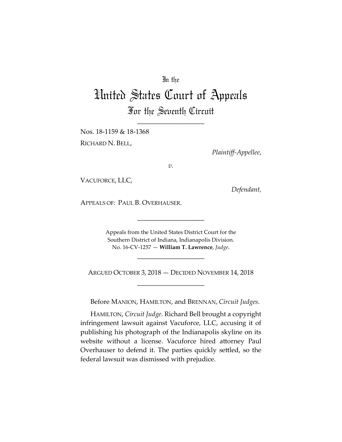# In the

# United States Court of Appeals For the Seventh Circuit

\_\_\_\_\_\_\_\_\_\_\_\_\_\_\_\_\_\_\_\_

Nos. 18-1159 & 18-1368 RICHARD N. BELL,

*Plaintiff-Appellee*,

*v.*

VACUFORCE, LLC,

*Defendant,*

APPEALS OF: PAUL B. OVERHAUSER.

Appeals from the United States District Court for the Southern District of Indiana, Indianapolis Division. No. 16-CV-1257 — **William T. Lawrence**, *Judge*.

\_\_\_\_\_\_\_\_\_\_\_\_\_\_\_\_\_\_\_\_

ARGUED OCTOBER 3, 2018 — DECIDED NOVEMBER 14, 2018 \_\_\_\_\_\_\_\_\_\_\_\_\_\_\_\_\_\_\_\_

\_\_\_\_\_\_\_\_\_\_\_\_\_\_\_\_\_\_\_\_

Before MANION, HAMILTON, and BRENNAN, *Circuit Judges*.

HAMILTON, *Circuit Judge*. Richard Bell brought a copyright infringement lawsuit against Vacuforce, LLC, accusing it of publishing his photograph of the Indianapolis skyline on its website without a license. Vacuforce hired attorney Paul Overhauser to defend it. The parties quickly settled, so the federal lawsuit was dismissed with prejudice.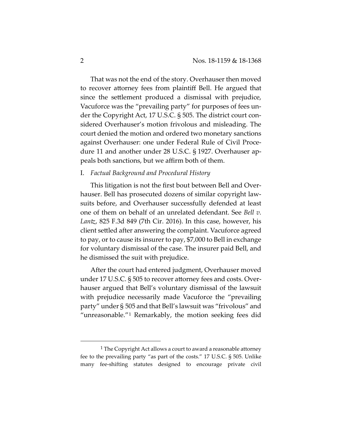That was not the end of the story. Overhauser then moved to recover attorney fees from plaintiff Bell. He argued that since the settlement produced a dismissal with prejudice, Vacuforce was the "prevailing party" for purposes of fees under the Copyright Act, 17 U.S.C. § 505. The district court considered Overhauser's motion frivolous and misleading. The court denied the motion and ordered two monetary sanctions against Overhauser: one under Federal Rule of Civil Procedure 11 and another under 28 U.S.C. § 1927. Overhauser appeals both sanctions, but we affirm both of them.

### I. *Factual Background and Procedural History*

This litigation is not the first bout between Bell and Overhauser. Bell has prosecuted dozens of similar copyright lawsuits before, and Overhauser successfully defended at least one of them on behalf of an unrelated defendant. See *Bell v. Lantz*, 825 F.3d 849 (7th Cir. 2016). In this case, however, his client settled after answering the complaint. Vacuforce agreed to pay, or to cause its insurer to pay, \$7,000 to Bell in exchange for voluntary dismissal of the case. The insurer paid Bell, and he dismissed the suit with prejudice.

After the court had entered judgment, Overhauser moved under 17 U.S.C. § 505 to recover attorney fees and costs. Overhauser argued that Bell's voluntary dismissal of the lawsuit with prejudice necessarily made Vacuforce the "prevailing party" under § 505 and that Bell's lawsuit was "frivolous" and "unreasonable."[1](#page-1-0) Remarkably, the motion seeking fees did

<span id="page-1-0"></span><sup>&</sup>lt;sup>1</sup> The Copyright Act allows a court to award a reasonable attorney fee to the prevailing party "as part of the costs." 17 U.S.C. § 505. Unlike many fee-shifting statutes designed to encourage private civil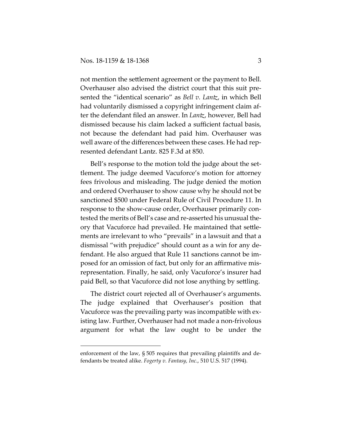$\overline{a}$ 

not mention the settlement agreement or the payment to Bell. Overhauser also advised the district court that this suit presented the "identical scenario" as *Bell v. Lantz*, in which Bell had voluntarily dismissed a copyright infringement claim after the defendant filed an answer. In *Lantz*, however, Bell had dismissed because his claim lacked a sufficient factual basis, not because the defendant had paid him. Overhauser was well aware of the differences between these cases. He had represented defendant Lantz. 825 F.3d at 850.

Bell's response to the motion told the judge about the settlement. The judge deemed Vacuforce's motion for attorney fees frivolous and misleading. The judge denied the motion and ordered Overhauser to show cause why he should not be sanctioned \$500 under Federal Rule of Civil Procedure 11. In response to the show-cause order, Overhauser primarily contested the merits of Bell's case and re-asserted his unusual theory that Vacuforce had prevailed. He maintained that settlements are irrelevant to who "prevails" in a lawsuit and that a dismissal "with prejudice" should count as a win for any defendant. He also argued that Rule 11 sanctions cannot be imposed for an omission of fact, but only for an affirmative misrepresentation. Finally, he said, only Vacuforce's insurer had paid Bell, so that Vacuforce did not lose anything by settling.

The district court rejected all of Overhauser's arguments. The judge explained that Overhauser's position that Vacuforce was the prevailing party was incompatible with existing law. Further, Overhauser had not made a non-frivolous argument for what the law ought to be under the

enforcement of the law, § 505 requires that prevailing plaintiffs and defendants be treated alike. *Fogerty v. Fantasy, Inc*., 510 U.S. 517 (1994).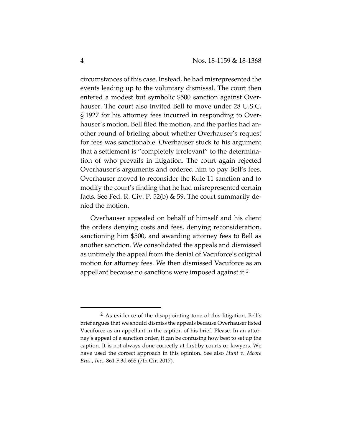circumstances of this case. Instead, he had misrepresented the events leading up to the voluntary dismissal. The court then entered a modest but symbolic \$500 sanction against Overhauser. The court also invited Bell to move under 28 U.S.C. § 1927 for his attorney fees incurred in responding to Overhauser's motion. Bell filed the motion, and the parties had another round of briefing about whether Overhauser's request for fees was sanctionable. Overhauser stuck to his argument that a settlement is "completely irrelevant" to the determination of who prevails in litigation. The court again rejected Overhauser's arguments and ordered him to pay Bell's fees. Overhauser moved to reconsider the Rule 11 sanction and to modify the court's finding that he had misrepresented certain facts. See Fed. R. Civ. P. 52(b) & 59. The court summarily denied the motion.

Overhauser appealed on behalf of himself and his client the orders denying costs and fees, denying reconsideration, sanctioning him \$500, and awarding attorney fees to Bell as another sanction. We consolidated the appeals and dismissed as untimely the appeal from the denial of Vacuforce's original motion for attorney fees. We then dismissed Vacuforce as an appellant because no sanctions were imposed against it.[2](#page-3-0)

<span id="page-3-0"></span> <sup>2</sup> As evidence of the disappointing tone of this litigation, Bell's brief argues that we should dismiss the appeals because Overhauser listed Vacuforce as an appellant in the caption of his brief. Please. In an attorney's appeal of a sanction order, it can be confusing how best to set up the caption. It is not always done correctly at first by courts or lawyers. We have used the correct approach in this opinion. See also *Hunt v. Moore Bros., Inc.*, 861 F.3d 655 (7th Cir. 2017).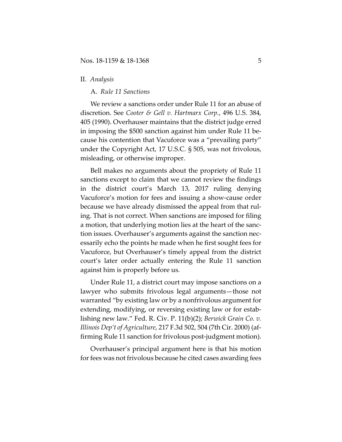#### II. *Analysis*

A. *Rule 11 Sanctions* 

We review a sanctions order under Rule 11 for an abuse of discretion. See *Cooter & Gell v. Hartmarx Corp.*, 496 U.S. 384, 405 (1990). Overhauser maintains that the district judge erred in imposing the \$500 sanction against him under Rule 11 because his contention that Vacuforce was a "prevailing party" under the Copyright Act, 17 U.S.C. § 505, was not frivolous, misleading, or otherwise improper.

Bell makes no arguments about the propriety of Rule 11 sanctions except to claim that we cannot review the findings in the district court's March 13, 2017 ruling denying Vacuforce's motion for fees and issuing a show-cause order because we have already dismissed the appeal from that ruling. That is not correct. When sanctions are imposed for filing a motion, that underlying motion lies at the heart of the sanction issues. Overhauser's arguments against the sanction necessarily echo the points he made when he first sought fees for Vacuforce, but Overhauser's timely appeal from the district court's later order actually entering the Rule 11 sanction against him is properly before us.

Under Rule 11, a district court may impose sanctions on a lawyer who submits frivolous legal arguments—those not warranted "by existing law or by a nonfrivolous argument for extending, modifying, or reversing existing law or for establishing new law." Fed. R. Civ. P. 11(b)(2); *Berwick Grain Co. v. Illinois Dep't of Agriculture*, 217 F.3d 502, 504 (7th Cir. 2000) (affirming Rule 11 sanction for frivolous post-judgment motion).

Overhauser's principal argument here is that his motion for fees was not frivolous because he cited cases awarding fees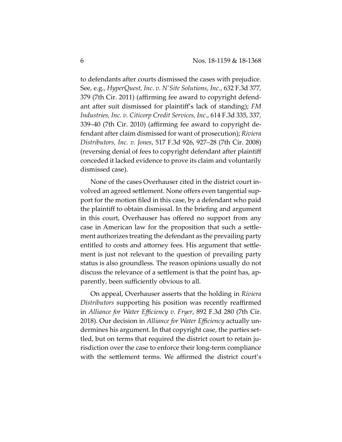to defendants after courts dismissed the cases with prejudice. See, e.g., *HyperQuest, Inc. v. N'Site Solutions, Inc.*, 632 F.3d 377, 379 (7th Cir. 2011) (affirming fee award to copyright defendant after suit dismissed for plaintiff's lack of standing); *FM Industries, Inc. v. Citicorp Credit Services, Inc*., 614 F.3d 335, 337, 339–40 (7th Cir. 2010) (affirming fee award to copyright defendant after claim dismissed for want of prosecution); *Riviera Distributors, Inc. v. Jones*, 517 F.3d 926, 927–28 (7th Cir. 2008) (reversing denial of fees to copyright defendant after plaintiff conceded it lacked evidence to prove its claim and voluntarily dismissed case).

None of the cases Overhauser cited in the district court involved an agreed settlement. None offers even tangential support for the motion filed in this case, by a defendant who paid the plaintiff to obtain dismissal. In the briefing and argument in this court, Overhauser has offered no support from any case in American law for the proposition that such a settlement authorizes treating the defendant as the prevailing party entitled to costs and attorney fees. His argument that settlement is just not relevant to the question of prevailing party status is also groundless. The reason opinions usually do not discuss the relevance of a settlement is that the point has, apparently, been sufficiently obvious to all.

On appeal, Overhauser asserts that the holding in *Riviera Distributors* supporting his position was recently reaffirmed in *Alliance for Water Efficiency v. Fryer*, 892 F.3d 280 (7th Cir. 2018). Our decision in *Alliance for Water Efficiency* actually undermines his argument. In that copyright case, the parties settled, but on terms that required the district court to retain jurisdiction over the case to enforce their long-term compliance with the settlement terms. We affirmed the district court's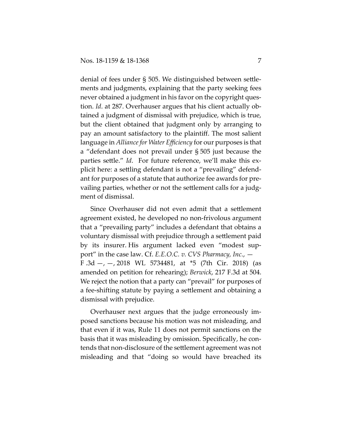denial of fees under § 505. We distinguished between settlements and judgments, explaining that the party seeking fees never obtained a judgment in his favor on the copyright question. *Id*. at 287. Overhauser argues that his client actually obtained a judgment of dismissal with prejudice, which is true, but the client obtained that judgment only by arranging to pay an amount satisfactory to the plaintiff. The most salient language in *Alliance for Water Efficiency* for our purposes is that a "defendant does not prevail under § 505 just because the parties settle." *Id*. For future reference, we'll make this explicit here: a settling defendant is not a "prevailing" defendant for purposes of a statute that authorize fee awards for prevailing parties, whether or not the settlement calls for a judgment of dismissal.

Since Overhauser did not even admit that a settlement agreement existed, he developed no non-frivolous argument that a "prevailing party" includes a defendant that obtains a voluntary dismissal with prejudice through a settlement paid by its insurer. His argument lacked even "modest support" in the case law. Cf. *E.E.O.C. v. CVS Pharmacy, Inc.*, — F .3d  $-$ ,  $-$ , 2018 WL 5734481, at  $*$ 5 (7th Cir. 2018) (as amended on petition for rehearing); *Berwick*, 217 F.3d at 504. We reject the notion that a party can "prevail" for purposes of a fee-shifting statute by paying a settlement and obtaining a dismissal with prejudice.

Overhauser next argues that the judge erroneously imposed sanctions because his motion was not misleading, and that even if it was, Rule 11 does not permit sanctions on the basis that it was misleading by omission. Specifically, he contends that non-disclosure of the settlement agreement was not misleading and that "doing so would have breached its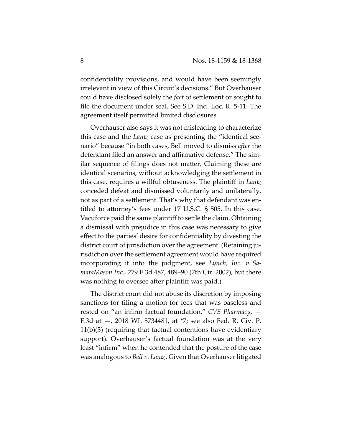confidentiality provisions, and would have been seemingly irrelevant in view of this Circuit's decisions." But Overhauser could have disclosed solely the *fact* of settlement or sought to file the document under seal. See S.D. Ind. Loc. R. 5-11. The agreement itself permitted limited disclosures.

Overhauser also says it was not misleading to characterize this case and the *Lantz* case as presenting the "identical scenario" because "in both cases, Bell moved to dismiss *after* the defendant filed an answer and affirmative defense." The similar sequence of filings does not matter. Claiming these are identical scenarios, without acknowledging the settlement in this case, requires a willful obtuseness. The plaintiff in *Lantz* conceded defeat and dismissed voluntarily and unilaterally, not as part of a settlement. That's why that defendant was entitled to attorney's fees under 17 U.S.C. § 505. In this case, Vacuforce paid the same plaintiff to settle the claim. Obtaining a dismissal with prejudice in this case was necessary to give effect to the parties' desire for confidentiality by divesting the district court of jurisdiction over the agreement. (Retaining jurisdiction over the settlement agreement would have required incorporating it into the judgment, see *Lynch, Inc. v. SamataMason Inc.,* 279 F.3d 487, 489–90 (7th Cir. 2002), but there was nothing to oversee after plaintiff was paid.)

The district court did not abuse its discretion by imposing sanctions for filing a motion for fees that was baseless and rested on "an infirm factual foundation." *CVS Pharmacy*, — F.3d at —, 2018 WL 5734481, at \*7; see also Fed. R. Civ. P. 11(b)(3) (requiring that factual contentions have evidentiary support). Overhauser's factual foundation was at the very least "infirm" when he contended that the posture of the case was analogous to *Bell v. Lantz*. Given that Overhauser litigated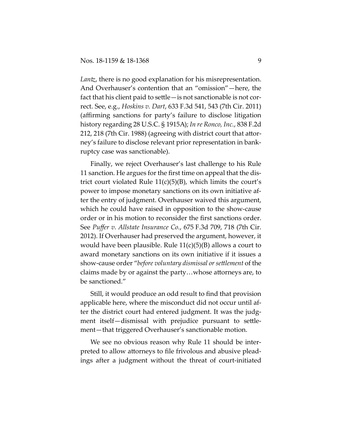*Lantz*, there is no good explanation for his misrepresentation. And Overhauser's contention that an "omission"—here, the fact that his client paid to settle—is not sanctionable is not correct. See, e.g., *Hoskins v. Dart*, 633 F.3d 541, 543 (7th Cir. 2011) (affirming sanctions for party's failure to disclose litigation history regarding 28 U.S.C. § 1915A); *In re Ronco, Inc.*, 838 F.2d 212, 218 (7th Cir. 1988) (agreeing with district court that attorney's failure to disclose relevant prior representation in bankruptcy case was sanctionable).

Finally, we reject Overhauser's last challenge to his Rule 11 sanction. He argues for the first time on appeal that the district court violated Rule  $11(c)(5)(B)$ , which limits the court's power to impose monetary sanctions on its own initiative after the entry of judgment. Overhauser waived this argument, which he could have raised in opposition to the show-cause order or in his motion to reconsider the first sanctions order. See *Puffer v. Allstate Insurance Co.*, 675 F.3d 709, 718 (7th Cir. 2012). If Overhauser had preserved the argument, however, it would have been plausible. Rule  $11(c)(5)(B)$  allows a court to award monetary sanctions on its own initiative if it issues a show-cause order "*before voluntary dismissal or settlement* of the claims made by or against the party…whose attorneys are, to be sanctioned."

Still, it would produce an odd result to find that provision applicable here, where the misconduct did not occur until after the district court had entered judgment. It was the judgment itself—dismissal with prejudice pursuant to settlement—that triggered Overhauser's sanctionable motion.

We see no obvious reason why Rule 11 should be interpreted to allow attorneys to file frivolous and abusive pleadings after a judgment without the threat of court-initiated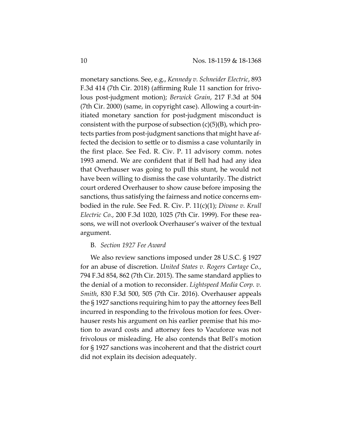monetary sanctions. See, e.g., *Kennedy v. Schneider Electric*, 893 F.3d 414 (7th Cir. 2018) (affirming Rule 11 sanction for frivolous post-judgment motion); *Berwick Grain*, 217 F.3d at 504 (7th Cir. 2000) (same, in copyright case). Allowing a court-initiated monetary sanction for post-judgment misconduct is consistent with the purpose of subsection  $(c)(5)(B)$ , which protects parties from post-judgment sanctions that might have affected the decision to settle or to dismiss a case voluntarily in the first place. See Fed. R. Civ. P. 11 advisory comm. notes 1993 amend. We are confident that if Bell had had any idea that Overhauser was going to pull this stunt, he would not have been willing to dismiss the case voluntarily. The district court ordered Overhauser to show cause before imposing the sanctions, thus satisfying the fairness and notice concerns embodied in the rule. See Fed. R. Civ. P. 11(c)(1); *Divane v. Krull Electric Co.*, 200 F.3d 1020, 1025 (7th Cir. 1999). For these reasons, we will not overlook Overhauser's waiver of the textual argument.

# B. *Section 1927 Fee Award*

We also review sanctions imposed under 28 U.S.C. § 1927 for an abuse of discretion. *United States v. Rogers Cartage Co.*, 794 F.3d 854, 862 (7th Cir. 2015). The same standard applies to the denial of a motion to reconsider. *Lightspeed Media Corp. v. Smith*, 830 F.3d 500, 505 (7th Cir. 2016). Overhauser appeals the § 1927 sanctions requiring him to pay the attorney fees Bell incurred in responding to the frivolous motion for fees. Overhauser rests his argument on his earlier premise that his motion to award costs and attorney fees to Vacuforce was not frivolous or misleading. He also contends that Bell's motion for § 1927 sanctions was incoherent and that the district court did not explain its decision adequately.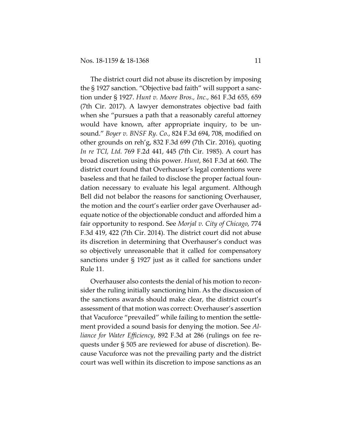The district court did not abuse its discretion by imposing the § 1927 sanction. "Objective bad faith" will support a sanction under § 1927. *Hunt v. Moore Bros., Inc.*, 861 F.3d 655, 659 (7th Cir. 2017). A lawyer demonstrates objective bad faith when she "pursues a path that a reasonably careful attorney would have known, after appropriate inquiry, to be unsound." *Boyer v. BNSF Ry. Co.*, 824 F.3d 694, 708, modified on other grounds on reh'g, 832 F.3d 699 (7th Cir. 2016), quoting *In re TCI, Ltd.* 769 F.2d 441, 445 (7th Cir. 1985). A court has broad discretion using this power. *Hunt*, 861 F.3d at 660. The district court found that Overhauser's legal contentions were baseless and that he failed to disclose the proper factual foundation necessary to evaluate his legal argument. Although Bell did not belabor the reasons for sanctioning Overhauser, the motion and the court's earlier order gave Overhauser adequate notice of the objectionable conduct and afforded him a fair opportunity to respond. See *Morjal v. City of Chicago*, 774 F.3d 419, 422 (7th Cir. 2014). The district court did not abuse its discretion in determining that Overhauser's conduct was so objectively unreasonable that it called for compensatory sanctions under § 1927 just as it called for sanctions under Rule 11.

Overhauser also contests the denial of his motion to reconsider the ruling initially sanctioning him. As the discussion of the sanctions awards should make clear, the district court's assessment of that motion was correct: Overhauser's assertion that Vacuforce "prevailed" while failing to mention the settlement provided a sound basis for denying the motion. See *Alliance for Water Efficiency*, 892 F.3d at 286 (rulings on fee requests under § 505 are reviewed for abuse of discretion). Because Vacuforce was not the prevailing party and the district court was well within its discretion to impose sanctions as an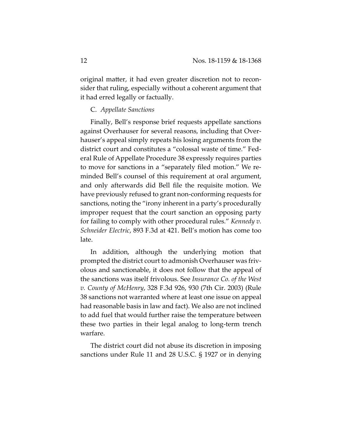original matter, it had even greater discretion not to reconsider that ruling, especially without a coherent argument that it had erred legally or factually.

## C. *Appellate Sanctions*

Finally, Bell's response brief requests appellate sanctions against Overhauser for several reasons, including that Overhauser's appeal simply repeats his losing arguments from the district court and constitutes a "colossal waste of time." Federal Rule of Appellate Procedure 38 expressly requires parties to move for sanctions in a "separately filed motion." We reminded Bell's counsel of this requirement at oral argument, and only afterwards did Bell file the requisite motion. We have previously refused to grant non-conforming requests for sanctions, noting the "irony inherent in a party's procedurally improper request that the court sanction an opposing party for failing to comply with other procedural rules." *Kennedy v. Schneider Electric*, 893 F.3d at 421. Bell's motion has come too late.

In addition, although the underlying motion that prompted the district court to admonish Overhauser was frivolous and sanctionable, it does not follow that the appeal of the sanctions was itself frivolous. See *Insurance Co. of the West v. County of McHenry*, 328 F.3d 926, 930 (7th Cir. 2003) (Rule 38 sanctions not warranted where at least one issue on appeal had reasonable basis in law and fact). We also are not inclined to add fuel that would further raise the temperature between these two parties in their legal analog to long-term trench warfare.

The district court did not abuse its discretion in imposing sanctions under Rule 11 and 28 U.S.C. § 1927 or in denying